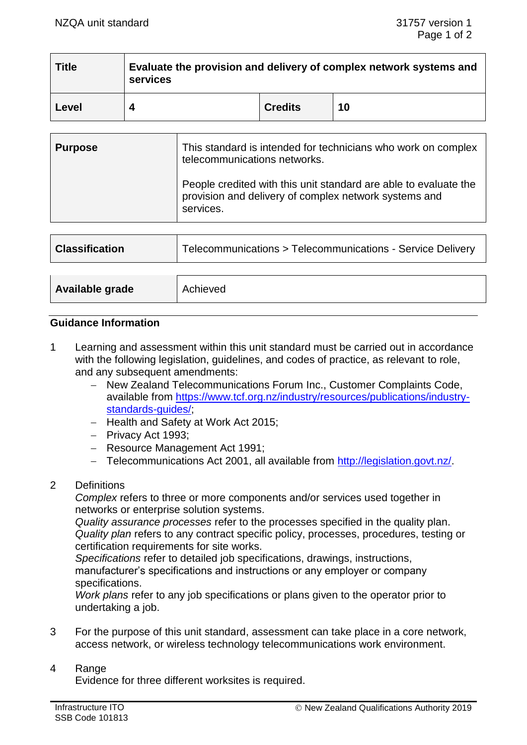| <b>Title</b> | Evaluate the provision and delivery of complex network systems and<br>services |                |    |  |  |
|--------------|--------------------------------------------------------------------------------|----------------|----|--|--|
| Level        |                                                                                | <b>Credits</b> | 10 |  |  |

| <b>Purpose</b> | This standard is intended for technicians who work on complex<br>telecommunications networks.                                          |  |
|----------------|----------------------------------------------------------------------------------------------------------------------------------------|--|
|                | People credited with this unit standard are able to evaluate the<br>provision and delivery of complex network systems and<br>services. |  |

| <b>Classification</b> | Telecommunications > Telecommunications - Service Delivery |  |
|-----------------------|------------------------------------------------------------|--|
|                       |                                                            |  |
| Available grade       | Achieved                                                   |  |

## **Guidance Information**

1 Learning and assessment within this unit standard must be carried out in accordance with the following legislation, guidelines, and codes of practice, as relevant to role, and any subsequent amendments:

- − New Zealand Telecommunications Forum Inc., Customer Complaints Code, available from https://www.tcf.org.nz/industry/resources/publications/industrv[standards-guides/;](https://www.tcf.org.nz/industry/resources/publications/industry-standards-guides/)
- − Health and Safety at Work Act 2015;
- − Privacy Act 1993;
- − Resource Management Act 1991;
- − Telecommunications Act 2001, all available from [http://legislation.govt.nz/.](http://legislation.govt.nz/)
- 2 Definitions

*Complex* refers to three or more components and/or services used together in networks or enterprise solution systems.

*Quality assurance processes* refer to the processes specified in the quality plan. *Quality plan* refers to any contract specific policy, processes, procedures, testing or certification requirements for site works.

*Specifications* refer to detailed job specifications, drawings, instructions, manufacturer's specifications and instructions or any employer or company specifications.

*Work plans* refer to any job specifications or plans given to the operator prior to undertaking a job.

3 For the purpose of this unit standard, assessment can take place in a core network, access network, or wireless technology telecommunications work environment.

#### 4 Range

Evidence for three different worksites is required.